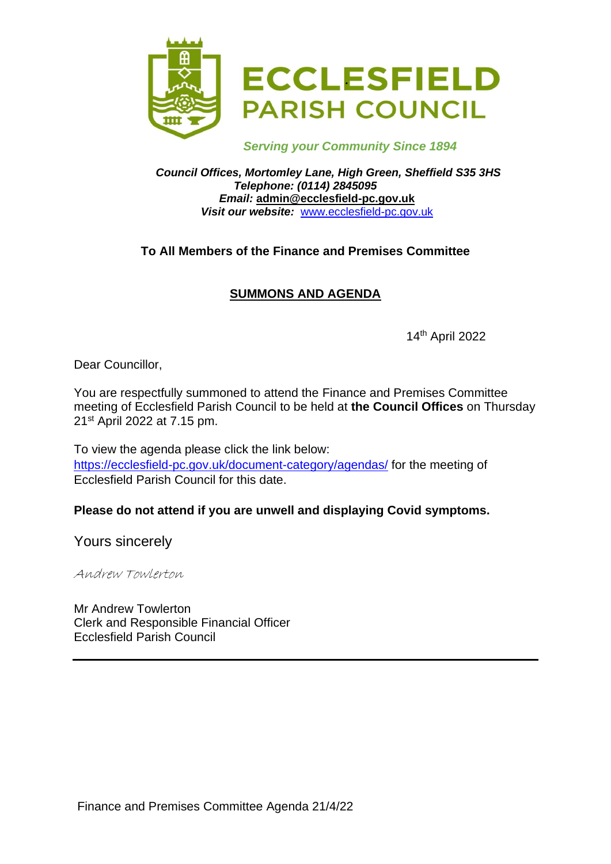

 *Serving your Community Since 1894*

*Council Offices, Mortomley Lane, High Green, Sheffield S35 3HS Telephone: (0114) 2845095 Email:* **admin@ecclesfield-pc.gov.uk** *Visit our website:* [www.ecclesfield-pc.gov.uk](http://www.ecclesfield-pc.gov.uk/)

## **To All Members of the Finance and Premises Committee**

# **SUMMONS AND AGENDA**

14th April 2022

Dear Councillor,

You are respectfully summoned to attend the Finance and Premises Committee meeting of Ecclesfield Parish Council to be held at **the Council Offices** on Thursday 21st April 2022 at 7.15 pm.

To view the agenda please click the link below: <https://ecclesfield-pc.gov.uk/document-category/agendas/> for the meeting of Ecclesfield Parish Council for this date.

## **Please do not attend if you are unwell and displaying Covid symptoms.**

Yours sincerely

Andrew Towlerton

Mr Andrew Towlerton Clerk and Responsible Financial Officer Ecclesfield Parish Council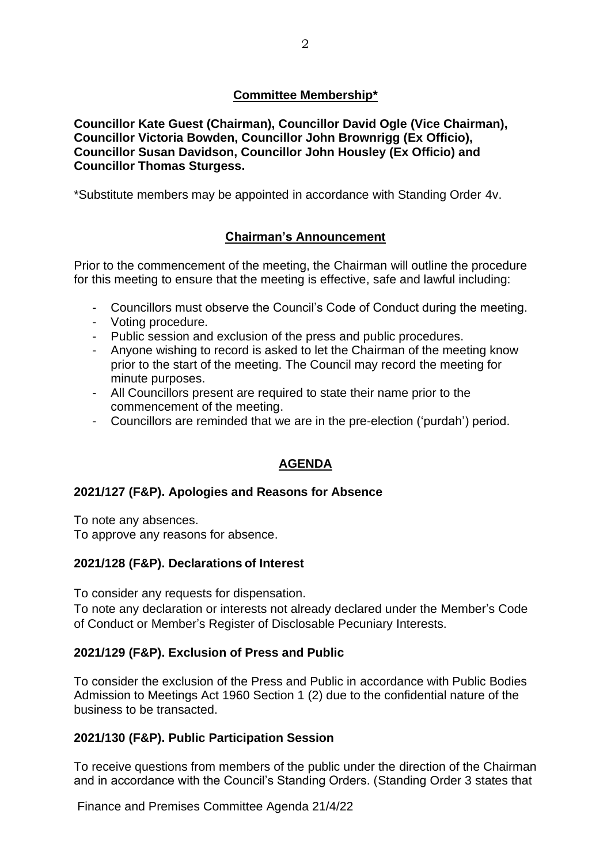## **Committee Membership\***

**Councillor Kate Guest (Chairman), Councillor David Ogle (Vice Chairman), Councillor Victoria Bowden, Councillor John Brownrigg (Ex Officio), Councillor Susan Davidson, Councillor John Housley (Ex Officio) and Councillor Thomas Sturgess.**

\*Substitute members may be appointed in accordance with Standing Order 4v.

# **Chairman's Announcement**

Prior to the commencement of the meeting, the Chairman will outline the procedure for this meeting to ensure that the meeting is effective, safe and lawful including:

- Councillors must observe the Council's Code of Conduct during the meeting.
- Voting procedure.
- Public session and exclusion of the press and public procedures.
- Anyone wishing to record is asked to let the Chairman of the meeting know prior to the start of the meeting. The Council may record the meeting for minute purposes.
- All Councillors present are required to state their name prior to the commencement of the meeting.
- Councillors are reminded that we are in the pre-election ('purdah') period.

# **AGENDA**

#### **2021/127 (F&P). Apologies and Reasons for Absence**

To note any absences.

To approve any reasons for absence.

#### **2021/128 (F&P). Declarations of Interest**

To consider any requests for dispensation.

To note any declaration or interests not already declared under the Member's Code of Conduct or Member's Register of Disclosable Pecuniary Interests.

#### **2021/129 (F&P). Exclusion of Press and Public**

To consider the exclusion of the Press and Public in accordance with Public Bodies Admission to Meetings Act 1960 Section 1 (2) due to the confidential nature of the business to be transacted.

#### **2021/130 (F&P). Public Participation Session**

To receive questions from members of the public under the direction of the Chairman and in accordance with the Council's Standing Orders. (Standing Order 3 states that

Finance and Premises Committee Agenda 21/4/22